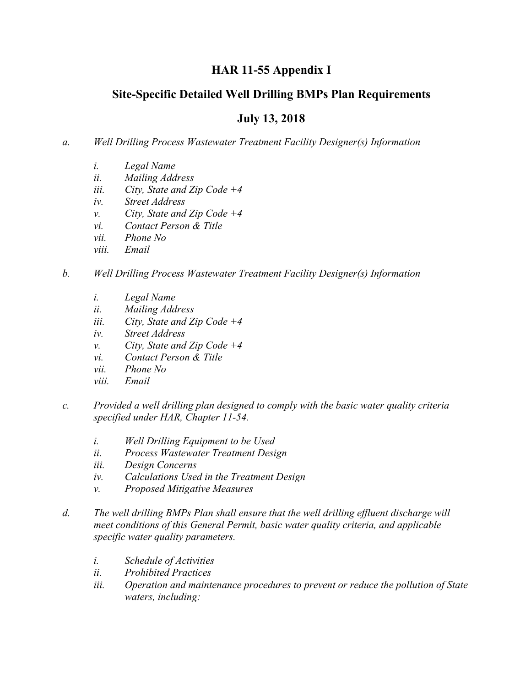# **HAR 11-55 Appendix I**

## **Site-Specific Detailed Well Drilling BMPs Plan Requirements**

## **July 13, 2018**

#### *a. Well Drilling Process Wastewater Treatment Facility Designer(s) Information*

- *i. Legal Name*
- *ii. Mailing Address*
- *iii. City, State and Zip Code +4*
- *iv. Street Address*
- *v. City, State and Zip Code +4*
- *vi. Contact Person & Title*
- *vii. Phone No*
- *viii. Email*

#### *b. Well Drilling Process Wastewater Treatment Facility Designer(s) Information*

- *i. Legal Name*
- *ii. Mailing Address*
- *iii. City, State and Zip Code +4*
- *iv. Street Address*
- *v. City, State and Zip Code +4*
- *vi. Contact Person & Title*
- *vii. Phone No*
- *viii. Email*
- *c. Provided a well drilling plan designed to comply with the basic water quality criteria specified under HAR, Chapter 11-54.*
	- *i. Well Drilling Equipment to be Used*
	- *ii. Process Wastewater Treatment Design*
	- *iii. Design Concerns*
	- *iv. Calculations Used in the Treatment Design*
	- *v. Proposed Mitigative Measures*
- *d. The well drilling BMPs Plan shall ensure that the well drilling effluent discharge will meet conditions of this General Permit, basic water quality criteria, and applicable specific water quality parameters.*
	- *i. Schedule of Activities*
	- *ii. Prohibited Practices*
	- *iii. Operation and maintenance procedures to prevent or reduce the pollution of State waters, including:*